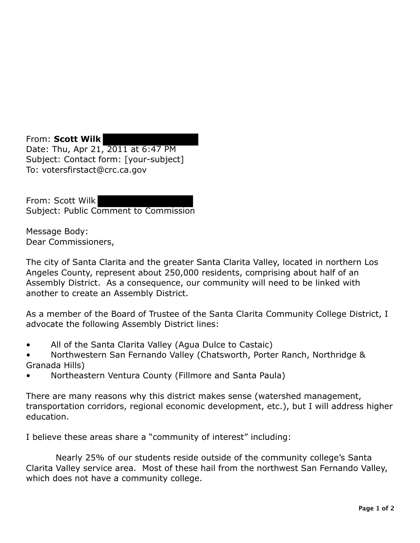From: **Scott Wilk**  Date: Thu, Apr 21, 2011 at 6:47 PM Subject: Contact form: [your-subject] To: votersfirstact@crc.ca.gov

From: Scott Wilk Subject: Public Comment to Commission

Message Body: Dear Commissioners,

The city of Santa Clarita and the greater Santa Clarita Valley, located in northern Los Angeles County, represent about 250,000 residents, comprising about half of an Assembly District. As a consequence, our community will need to be linked with another to create an Assembly District.

As a member of the Board of Trustee of the Santa Clarita Community College District, I advocate the following Assembly District lines:

- All of the Santa Clarita Valley (Agua Dulce to Castaic)
- Northwestern San Fernando Valley (Chatsworth, Porter Ranch, Northridge & Granada Hills)
- Northeastern Ventura County (Fillmore and Santa Paula)

There are many reasons why this district makes sense (watershed management, transportation corridors, regional economic development, etc.), but I will address higher education.

I believe these areas share a "community of interest" including:

Nearly 25% of our students reside outside of the community college's Santa Clarita Valley service area. Most of these hail from the northwest San Fernando Valley, which does not have a community college.